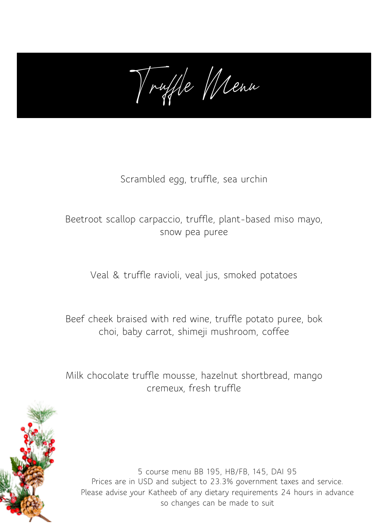Truffle Menu

## Scrambled egg, truffle, sea urchin

### Beetroot scallop carpaccio, truffle, plant-based miso mayo, snow pea puree

Veal & truffle ravioli, veal jus, smoked potatoes

Beef cheek braised with red wine, truffle potato puree, bok choi, baby carrot, shimeji mushroom, coffee

Milk chocolate truffle mousse, hazelnut shortbread, mango cremeux, fresh truffle

5 course menu BB 195, HB/FB, 145, DAI 95 Prices are in USD and subject to 23.3% government taxes and service. Please advise your Katheeb of any dietary requirements 24 hours in advance so changes can be made to suit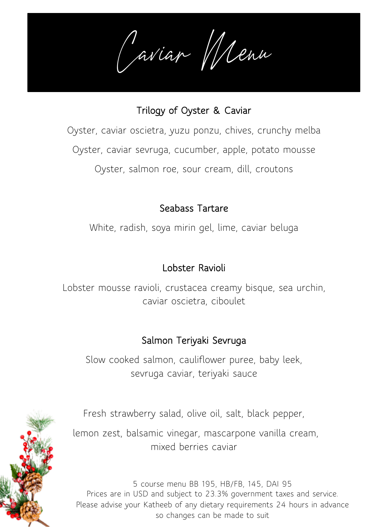Caviar Menu

### Trilogy of Oyster & Caviar

Oyster, caviar oscietra, yuzu ponzu, chives, crunchy melba Oyster, caviar sevruga, cucumber, apple, potato mousse Oyster, salmon roe, sour cream, dill, croutons

## Seabass Tartare

White, radish, soya mirin gel, lime, caviar beluga

## Lobster Ravioli

Lobster mousse ravioli, crustacea creamy bisque, sea urchin, caviar oscietra, ciboulet

## Salmon Teriyaki Sevruga

Slow cooked salmon, cauliflower puree, baby leek, sevruga caviar, teriyaki sauce

Fresh strawberry salad, olive oil, salt, black pepper,

lemon zest, balsamic vinegar, mascarpone vanilla cream, mixed berries caviar

5 course menu BB 195, HB/FB, 145, DAI 95 Prices are in USD and subject to 23.3% government taxes and service. Please advise your Katheeb of any dietary requirements 24 hours in advance so changes can be made to suit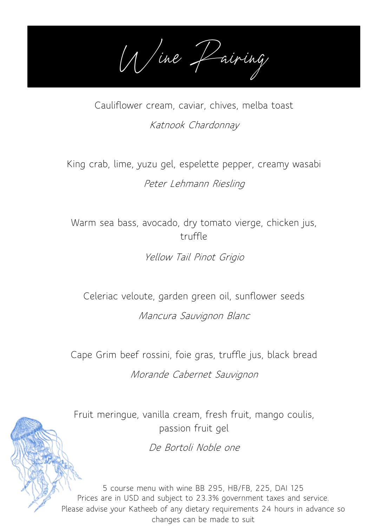Wine Pairing

Cauliflower cream, caviar, chives, melba toast Katnook Chardonnay

King crab, lime, yuzu gel, espelette pepper, creamy wasabi Peter Lehmann Riesling

Warm sea bass, avocado, dry tomato vierge, chicken jus, truffle

Yellow Tail Pinot Grigio

Celeriac veloute, garden green oil, sunflower seeds Mancura Sauvignon Blanc

Cape Grim beef rossini, foie gras, truffle jus, black bread Morande Cabernet Sauvignon

Fruit meringue, vanilla cream, fresh fruit, mango coulis, passion fruit gel

De Bortoli Noble one

5 course menu with wine BB 295, HB/FB, 225, DAI 125 Prices are in USD and subject to 23.3% government taxes and service. Please advise your Katheeb of any dietary requirements 24 hours in advance so changes can be made to suit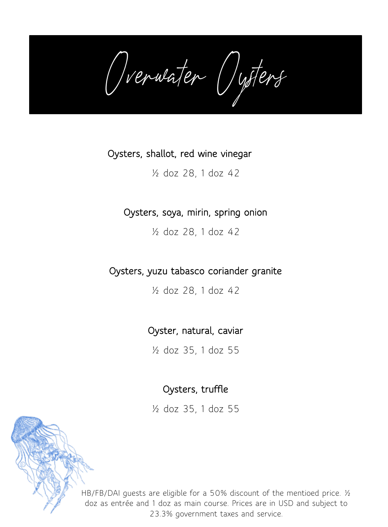Overwater Oysters

#### Oysters, shallot, red wine vinegar

½ doz 28, 1 doz 42

### Oysters, soya, mirin, spring onion

½ doz 28, 1 doz 42

## Oysters, yuzu tabasco coriander granite

½ doz 28, 1 doz 42

## Oyster, natural, caviar

½ doz 35, 1 doz 55

# Oysters, truffle

½ doz 35, 1 doz 55



HB/FB/DAI guests are eligible for a 50% discount of the mentioed price. ½ doz as entrée and 1 doz as main course. Prices are in USD and subject to 23.3% government taxes and service.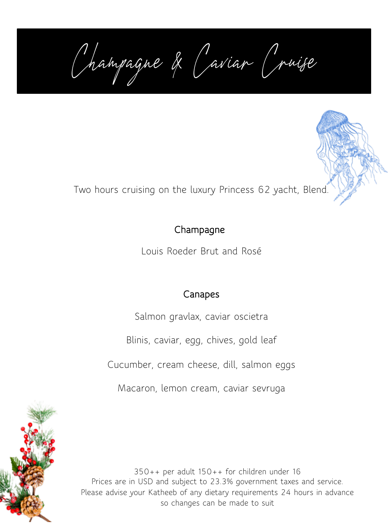Champagne & Caviar Cruise

Two hours cruising on the luxury Princess 62 yacht, Blend.

#### Champagne

Louis Roeder Brut and Rosé

### Canapes

Salmon gravlax, caviar oscietra

Blinis, caviar, egg, chives, gold leaf

Cucumber, cream cheese, dill, salmon eggs

Macaron, lemon cream, caviar sevruga

350++ per adult 150++ for children under 16 Prices are in USD and subject to 23.3% government taxes and service. Please advise your Katheeb of any dietary requirements 24 hours in advance so changes can be made to suit